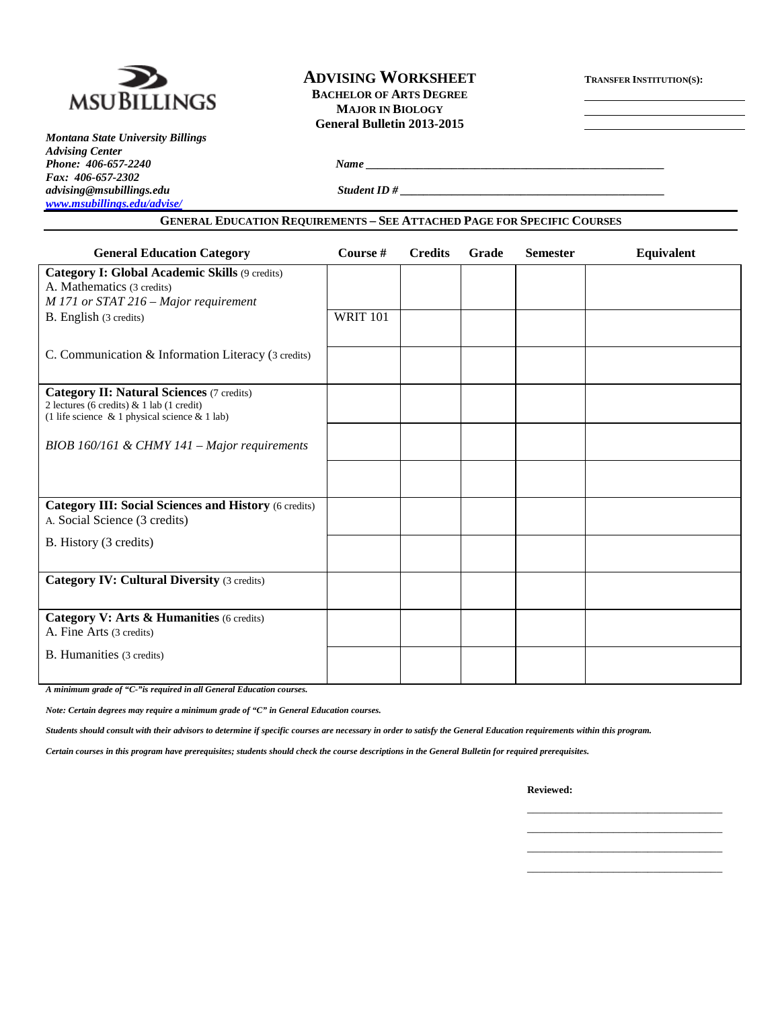

*Montana State University Billings Advising Center Phone: 406-657-2240 Name \_\_\_\_\_\_\_\_\_\_\_\_\_\_\_\_\_\_\_\_\_\_\_\_\_\_\_\_\_\_\_\_\_\_\_\_\_\_\_\_\_\_\_\_\_\_\_\_\_\_\_\_ Fax: 406-657-2302 [www.msubillings.edu/advise/](http://www.msubillings.edu/advise/)*

## **ADVISING WORKSHEET TRANSFER INSTITUTION(S): BACHELOR OF ARTS DEGREE MAJOR IN BIOLOGY**

**General Bulletin 2013-2015**

*advising@msubillings.edu Student ID # \_\_\_\_\_\_\_\_\_\_\_\_\_\_\_\_\_\_\_\_\_\_\_\_\_\_\_\_\_\_\_\_\_\_\_\_\_\_\_\_\_\_\_\_\_\_*

#### **GENERAL EDUCATION REQUIREMENTS – SEE ATTACHED PAGE FOR SPECIFIC COURSES**

| <b>General Education Category</b>                                                                                                                | Course #        | <b>Credits</b> | Grade | <b>Semester</b> | Equivalent |
|--------------------------------------------------------------------------------------------------------------------------------------------------|-----------------|----------------|-------|-----------------|------------|
| Category I: Global Academic Skills (9 credits)<br>A. Mathematics (3 credits)                                                                     |                 |                |       |                 |            |
| M 171 or STAT 216 - Major requirement                                                                                                            |                 |                |       |                 |            |
| B. English (3 credits)                                                                                                                           | <b>WRIT 101</b> |                |       |                 |            |
| C. Communication & Information Literacy (3 credits)                                                                                              |                 |                |       |                 |            |
| <b>Category II: Natural Sciences (7 credits)</b><br>2 lectures (6 credits) $& 1$ lab (1 credit)<br>(1 life science & 1 physical science & 1 lab) |                 |                |       |                 |            |
| BIOB 160/161 & CHMY 141 - Major requirements                                                                                                     |                 |                |       |                 |            |
|                                                                                                                                                  |                 |                |       |                 |            |
| <b>Category III: Social Sciences and History (6 credits)</b><br>A. Social Science (3 credits)                                                    |                 |                |       |                 |            |
| B. History (3 credits)                                                                                                                           |                 |                |       |                 |            |
| <b>Category IV: Cultural Diversity (3 credits)</b>                                                                                               |                 |                |       |                 |            |
| Category V: Arts & Humanities (6 credits)<br>A. Fine Arts (3 credits)                                                                            |                 |                |       |                 |            |
| B. Humanities (3 credits)                                                                                                                        |                 |                |       |                 |            |
|                                                                                                                                                  |                 |                |       |                 |            |

*A minimum grade of "C-"is required in all General Education courses.* 

*Note: Certain degrees may require a minimum grade of "C" in General Education courses.* 

*Students should consult with their advisors to determine if specific courses are necessary in order to satisfy the General Education requirements within this program.*

*Certain courses in this program have prerequisites; students should check the course descriptions in the General Bulletin for required prerequisites.*

**Reviewed:**

\_\_\_\_\_\_\_\_\_\_\_\_\_\_\_\_\_\_\_\_\_\_\_\_\_\_\_\_\_\_\_\_\_\_ \_\_\_\_\_\_\_\_\_\_\_\_\_\_\_\_\_\_\_\_\_\_\_\_\_\_\_\_\_\_\_\_\_\_ \_\_\_\_\_\_\_\_\_\_\_\_\_\_\_\_\_\_\_\_\_\_\_\_\_\_\_\_\_\_\_\_\_\_ \_\_\_\_\_\_\_\_\_\_\_\_\_\_\_\_\_\_\_\_\_\_\_\_\_\_\_\_\_\_\_\_\_\_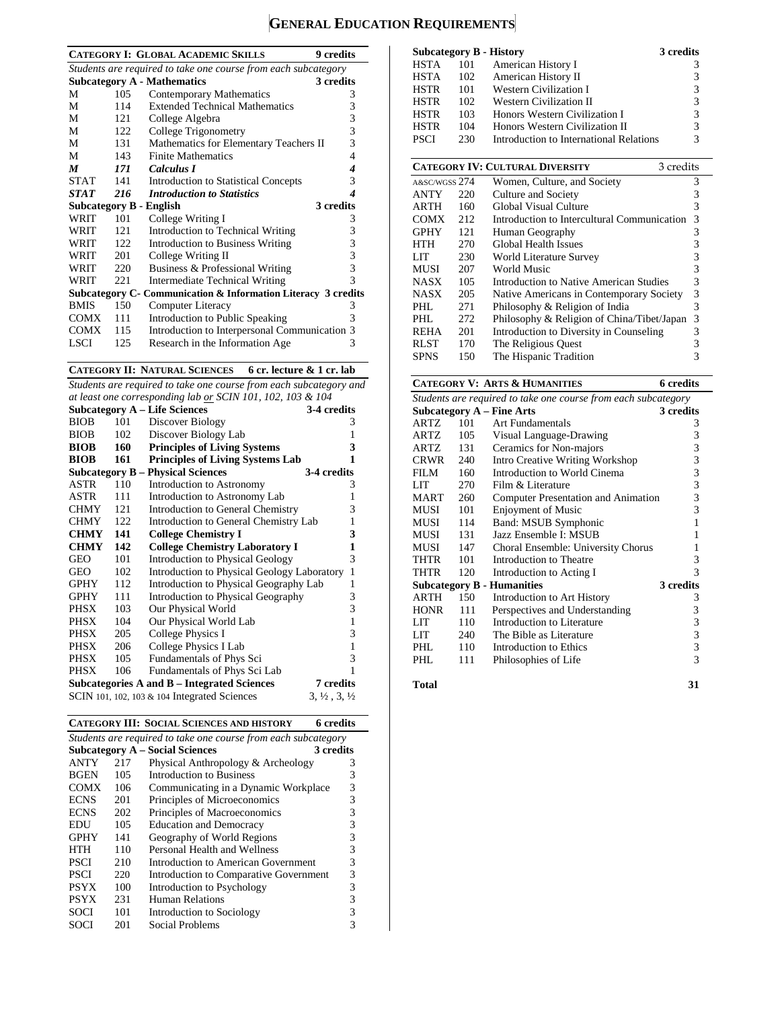# **GENERAL EDUCATION REQUIREMENTS**

|                  |      | <b>CATEGORY I: GLOBAL ACADEMIC SKILLS</b><br><b>9</b> credits  |   |
|------------------|------|----------------------------------------------------------------|---|
|                  |      | Students are required to take one course from each subcategory |   |
|                  |      | <b>Subcategory A - Mathematics</b><br>3 credits                |   |
| M                | 105  | Contemporary Mathematics                                       | 3 |
| М                | 114  | <b>Extended Technical Mathematics</b>                          | 3 |
| М                | 121  | College Algebra                                                | 3 |
| М                | 122  | College Trigonometry                                           | 3 |
| М                | 131  | Mathematics for Elementary Teachers II                         | 3 |
| М                | 143  | <b>Finite Mathematics</b>                                      | 4 |
| $\boldsymbol{M}$ | 171  | Calculus I                                                     | 4 |
| <b>STAT</b>      | 141  | <b>Introduction to Statistical Concepts</b>                    | 3 |
| <b>STAT</b>      | 216  | <b>Introduction to Statistics</b>                              | 4 |
|                  |      | 3 credits<br>Subcategory B - English                           |   |
| WRIT             | 101  | College Writing I                                              | 3 |
| WRIT             | 121  | Introduction to Technical Writing                              | 3 |
| WRIT             | 122. | <b>Introduction to Business Writing</b>                        | 3 |
| WRIT             | 201  | College Writing II                                             | 3 |
| WRIT             | 220  | Business & Professional Writing                                | 3 |
| WRIT             | 221  | Intermediate Technical Writing                                 | 3 |
|                  |      | Subcategory C- Communication & Information Literacy 3 credits  |   |
| <b>BMIS</b>      | 150  | Computer Literacy                                              | 3 |
| COMX             | 111  | Introduction to Public Speaking                                | 3 |
| <b>COMX</b>      | 115  | Introduction to Interpersonal Communication 3                  |   |
| LSCI             | 125  | Research in the Information Age                                | 3 |

**CATEGORY II: NATURAL SCIENCES 6 cr. lecture & 1 cr. lab**

*Students are required to take one course from each subcategory and at least one corresponding lab or SCIN 101, 102, 103 & 104*

|             |     | <b>Subcategory A – Life Sciences</b>            | 3-4 credits                      |
|-------------|-----|-------------------------------------------------|----------------------------------|
| <b>BIOB</b> | 101 | Discover Biology                                | 3                                |
| <b>BIOB</b> | 102 | Discover Biology Lab                            | 1                                |
| <b>BIOB</b> | 160 | <b>Principles of Living Systems</b>             | 3                                |
| <b>BIOB</b> | 161 | <b>Principles of Living Systems Lab</b>         | 1                                |
|             |     | <b>Subcategory B - Physical Sciences</b>        | 3-4 credits                      |
| ASTR        | 110 | Introduction to Astronomy                       | 3                                |
| ASTR        | 111 | Introduction to Astronomy Lab                   | 1                                |
| <b>CHMY</b> | 121 | Introduction to General Chemistry               | 3                                |
| <b>CHMY</b> | 122 | Introduction to General Chemistry Lab           | $\mathbf{1}$                     |
| <b>CHMY</b> | 141 | <b>College Chemistry I</b>                      | 3                                |
| <b>CHMY</b> | 142 | <b>College Chemistry Laboratory I</b>           | 1                                |
| GEO         | 101 | Introduction to Physical Geology                | 3                                |
| GEO         | 102 | Introduction to Physical Geology Laboratory     | 1                                |
| <b>GPHY</b> | 112 | Introduction to Physical Geography Lab          | 1                                |
| <b>GPHY</b> | 111 | Introduction to Physical Geography              | 3                                |
| <b>PHSX</b> | 103 | Our Physical World                              | 3                                |
| PHSX        | 104 | Our Physical World Lab                          | 1                                |
| PHSX        | 205 | College Physics I                               | 3                                |
| PHSX        | 206 | College Physics I Lab                           | 1                                |
| <b>PHSX</b> | 105 | Fundamentals of Phys Sci                        | 3                                |
| <b>PHSX</b> | 106 | Fundamentals of Phys Sci Lab                    | 1                                |
|             |     | Subcategories A and B – Integrated Sciences     | 7 credits                        |
|             |     | SCIN 101, 102, 103 $\&$ 104 Integrated Sciences | $3, \frac{1}{2}, 3, \frac{1}{2}$ |

**CATEGORY III: SOCIAL SCIENCES AND HISTORY 6 credits**

| Students are required to take one course from each subcategory |     |                                        |           |  |  |
|----------------------------------------------------------------|-----|----------------------------------------|-----------|--|--|
|                                                                |     | <b>Subcategory A – Social Sciences</b> | 3 credits |  |  |
| <b>ANTY</b>                                                    | 217 | Physical Anthropology & Archeology     | 3         |  |  |
| <b>BGEN</b>                                                    | 105 | Introduction to Business               | 3         |  |  |
| <b>COMX</b>                                                    | 106 | Communicating in a Dynamic Workplace   | 3         |  |  |
| <b>ECNS</b>                                                    | 201 | Principles of Microeconomics           | 3         |  |  |
| <b>ECNS</b>                                                    | 202 | Principles of Macroeconomics           | 3         |  |  |
| EDU                                                            | 105 | <b>Education and Democracy</b>         | 3         |  |  |
| <b>GPHY</b>                                                    | 141 | Geography of World Regions             | 3         |  |  |
| <b>HTH</b>                                                     | 110 | Personal Health and Wellness           | 3         |  |  |
| <b>PSCI</b>                                                    | 210 | Introduction to American Government    | 3         |  |  |
| <b>PSCI</b>                                                    | 220 | Introduction to Comparative Government | 3         |  |  |
| <b>PSYX</b>                                                    | 100 | Introduction to Psychology             | 3         |  |  |
| <b>PSYX</b>                                                    | 231 | <b>Human Relations</b>                 | 3         |  |  |
| <b>SOCI</b>                                                    | 101 | Introduction to Sociology              | 3         |  |  |
| SOCI                                                           | 201 | Social Problems                        |           |  |  |

| <b>Subcategory B - History</b> |     |                                         | 3 credits     |
|--------------------------------|-----|-----------------------------------------|---------------|
| <b>HSTA</b>                    | 101 | American History I                      |               |
| <b>HSTA</b>                    | 102 | American History II                     | 3             |
| <b>HSTR</b>                    | 101 | <b>Western Civilization I</b>           | $\mathcal{R}$ |
| <b>HSTR</b>                    | 102 | <b>Western Civilization II</b>          | 3             |
| <b>HSTR</b>                    | 103 | Honors Western Civilization I           | 3             |
| <b>HSTR</b>                    | 104 | Honors Western Civilization II          | 3             |
| <b>PSCI</b>                    | 230 | Introduction to International Relations | 3             |

|               |     | <b>CATEGORY IV: CULTURAL DIVERSITY</b><br>3 credits |   |
|---------------|-----|-----------------------------------------------------|---|
| A&SC/WGSS 274 |     | Women, Culture, and Society                         | 3 |
| <b>ANTY</b>   | 220 | Culture and Society                                 | 3 |
| <b>ARTH</b>   | 160 | Global Visual Culture                               | 3 |
| <b>COMX</b>   | 212 | Introduction to Intercultural Communication         | 3 |
| <b>GPHY</b>   | 121 | Human Geography                                     | 3 |
| HTH           | 270 | Global Health Issues                                | 3 |
| LIT           | 230 | World Literature Survey                             | 3 |
| <b>MUSI</b>   | 207 | World Music                                         | 3 |
| <b>NASX</b>   | 105 | Introduction to Native American Studies             | 3 |
| <b>NASX</b>   | 205 | Native Americans in Contemporary Society            | 3 |
| PHL.          | 271 | Philosophy & Religion of India                      | 3 |
| PHL           | 272 | Philosophy & Religion of China/Tibet/Japan          | 3 |
| <b>REHA</b>   | 201 | Introduction to Diversity in Counseling             | 3 |
| <b>RLST</b>   | 170 | The Religious Quest                                 | 3 |
| <b>SPNS</b>   | 150 | The Hispanic Tradition                              | 3 |

#### **CATEGORY V: ARTS & HUMANITIES 6 credits**

| Students are required to take one course from each subcategory |     |                                        |           |  |
|----------------------------------------------------------------|-----|----------------------------------------|-----------|--|
|                                                                |     | Subcategory $A$ – Fine Arts            | 3 credits |  |
| ARTZ                                                           | 101 | Art Fundamentals                       | 3         |  |
| ARTZ                                                           | 105 | Visual Language-Drawing                | 3         |  |
| ARTZ                                                           | 131 | Ceramics for Non-majors                | 3         |  |
| CRWR                                                           | 240 | <b>Intro Creative Writing Workshop</b> | 3         |  |
| FILM                                                           | 160 | Introduction to World Cinema           | 3         |  |
| LIT                                                            | 270 | Film & Literature                      | 3         |  |
| <b>MART</b>                                                    | 260 | Computer Presentation and Animation    | 3         |  |
| MUSI                                                           | 101 | <b>Enjoyment of Music</b>              | 3         |  |
| MUSI                                                           | 114 | Band: MSUB Symphonic                   | 1         |  |
| MUSI                                                           | 131 | Jazz Ensemble I: MSUB                  |           |  |
| MUSI                                                           | 147 | Choral Ensemble: University Chorus     |           |  |
| THTR                                                           | 101 | Introduction to Theatre                | 3         |  |
| THTR                                                           | 120 | Introduction to Acting I               | 3         |  |
|                                                                |     | <b>Subcategory B - Humanities</b>      | 3 credits |  |
| ARTH                                                           | 150 | Introduction to Art History            | 3         |  |
| <b>HONR</b>                                                    | 111 | Perspectives and Understanding         | 3         |  |
| LIT                                                            | 110 | Introduction to Literature             | 3         |  |
| LIT                                                            | 240 | The Bible as Literature                | 3         |  |
| PHL.                                                           | 110 | Introduction to Ethics                 | 3         |  |
| PHL                                                            | 111 | Philosophies of Life                   | 3         |  |
|                                                                |     |                                        |           |  |

**Total 31**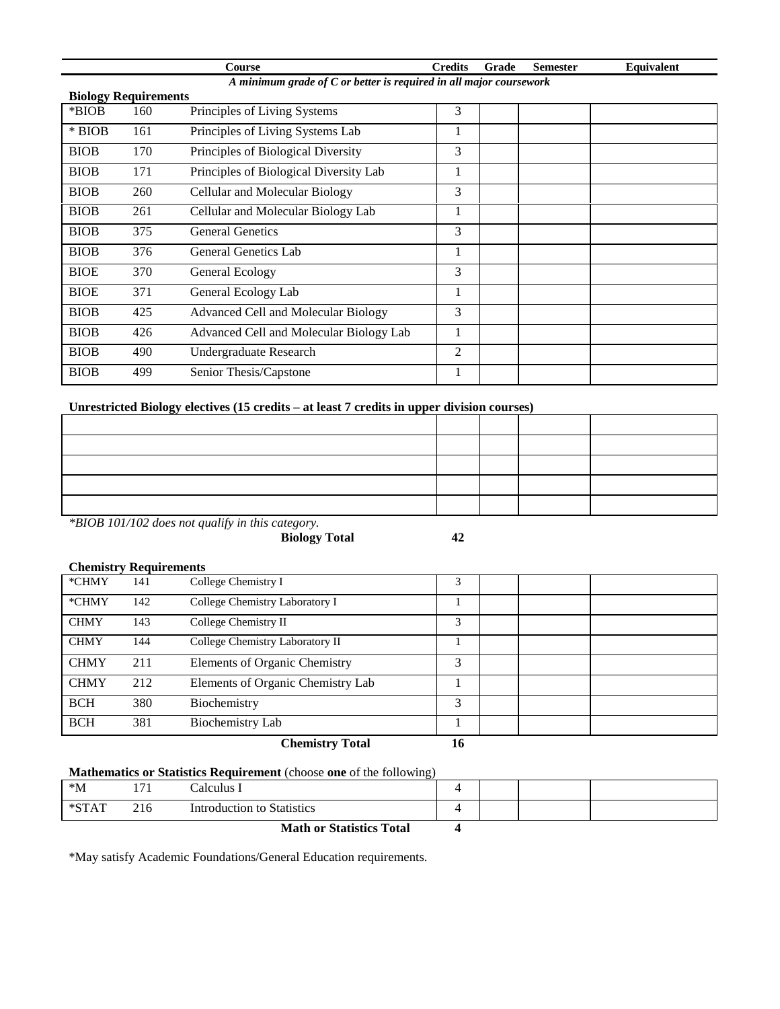| course                                                             | <b>Predits</b> | Grade | Semester | Equivalent |  |
|--------------------------------------------------------------------|----------------|-------|----------|------------|--|
| A minimum grade of C or better is required in all major coursework |                |       |          |            |  |

|             | <b>Biology Requirements</b> |                                         |   |  |  |  |  |
|-------------|-----------------------------|-----------------------------------------|---|--|--|--|--|
| *BIOB       | 160                         | Principles of Living Systems            | 3 |  |  |  |  |
| $*$ BIOB    | 161                         | Principles of Living Systems Lab        |   |  |  |  |  |
| <b>BIOB</b> | 170                         | Principles of Biological Diversity      | 3 |  |  |  |  |
| <b>BIOB</b> | 171                         | Principles of Biological Diversity Lab  |   |  |  |  |  |
| <b>BIOB</b> | 260                         | Cellular and Molecular Biology          | 3 |  |  |  |  |
| <b>BIOB</b> | 261                         | Cellular and Molecular Biology Lab      |   |  |  |  |  |
| <b>BIOB</b> | 375                         | <b>General Genetics</b>                 | 3 |  |  |  |  |
| <b>BIOB</b> | 376                         | General Genetics Lab                    |   |  |  |  |  |
| <b>BIOE</b> | 370                         | General Ecology                         | 3 |  |  |  |  |
| <b>BIOE</b> | 371                         | General Ecology Lab                     |   |  |  |  |  |
| <b>BIOB</b> | 425                         | Advanced Cell and Molecular Biology     | 3 |  |  |  |  |
| <b>BIOB</b> | 426                         | Advanced Cell and Molecular Biology Lab |   |  |  |  |  |
| <b>BIOB</b> | 490                         | Undergraduate Research                  | 2 |  |  |  |  |
| <b>BIOB</b> | 499                         | Senior Thesis/Capstone                  |   |  |  |  |  |

## **Unrestricted Biology electives (15 credits – at least 7 credits in upper division courses)**

*\*BIOB 101/102 does not qualify in this category.*

**Biology Total 42**

## **Chemistry Requirements**

 $\blacksquare$ 

| <b>BCH</b>  | 381 | <b>Biochemistry Lab</b>              |   |  |  |
|-------------|-----|--------------------------------------|---|--|--|
| <b>BCH</b>  | 380 | Biochemistry                         | 3 |  |  |
| <b>CHMY</b> | 212 | Elements of Organic Chemistry Lab    |   |  |  |
| <b>CHMY</b> | 211 | <b>Elements of Organic Chemistry</b> | 3 |  |  |
| <b>CHMY</b> | 144 | College Chemistry Laboratory II      |   |  |  |
| <b>CHMY</b> | 143 | College Chemistry II                 | 3 |  |  |
| *CHMY       | 142 | College Chemistry Laboratory I       |   |  |  |
| *CHMY       | 141 | College Chemistry I                  | 3 |  |  |

## **Mathematics or Statistics Requirement** (choose **one** of the following)

| $^*M$    |     | Calculus I                      |  |  |
|----------|-----|---------------------------------|--|--|
| $*$ STAT | 216 | Introduction to Statistics      |  |  |
|          |     | <b>Math or Statistics Total</b> |  |  |

\*May satisfy Academic Foundations/General Education requirements.